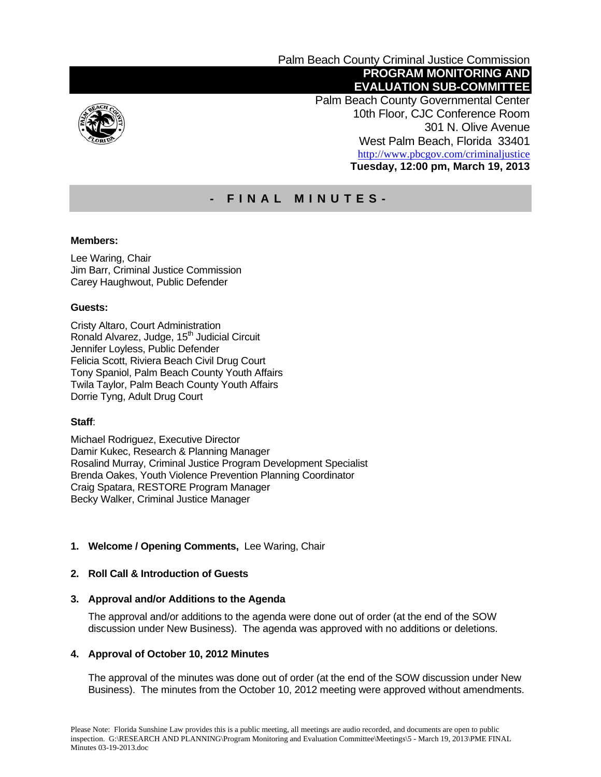

Palm Beach County Criminal Justice Commission  **PROGRAM MONITORING AND EVALUATION SUB-COMMITTEE** 

 Palm Beach County Governmental Center 10th Floor, CJC Conference Room 301 N. Olive Avenue West Palm Beach, Florida 33401 http://www.pbcgov.com/criminaljustice **Tuesday, 12:00 pm, March 19, 2013** 

# **- FINAL MINUTES-**

## **Members:**

Lee Waring, Chair Jim Barr, Criminal Justice Commission Carey Haughwout, Public Defender

## **Guests:**

Cristy Altaro, Court Administration Ronald Alvarez, Judge, 15<sup>th</sup> Judicial Circuit Jennifer Loyless, Public Defender Felicia Scott, Riviera Beach Civil Drug Court Tony Spaniol, Palm Beach County Youth Affairs Twila Taylor, Palm Beach County Youth Affairs Dorrie Tyng, Adult Drug Court

# **Staff**:

Michael Rodriguez, Executive Director Damir Kukec, Research & Planning Manager Rosalind Murray, Criminal Justice Program Development Specialist Brenda Oakes, Youth Violence Prevention Planning Coordinator Craig Spatara, RESTORE Program Manager Becky Walker, Criminal Justice Manager

# **1. Welcome / Opening Comments,** Lee Waring, Chair

## **2. Roll Call & Introduction of Guests**

#### **3. Approval and/or Additions to the Agenda**

The approval and/or additions to the agenda were done out of order (at the end of the SOW discussion under New Business). The agenda was approved with no additions or deletions.

#### **4. Approval of October 10, 2012 Minutes**

The approval of the minutes was done out of order (at the end of the SOW discussion under New Business). The minutes from the October 10, 2012 meeting were approved without amendments.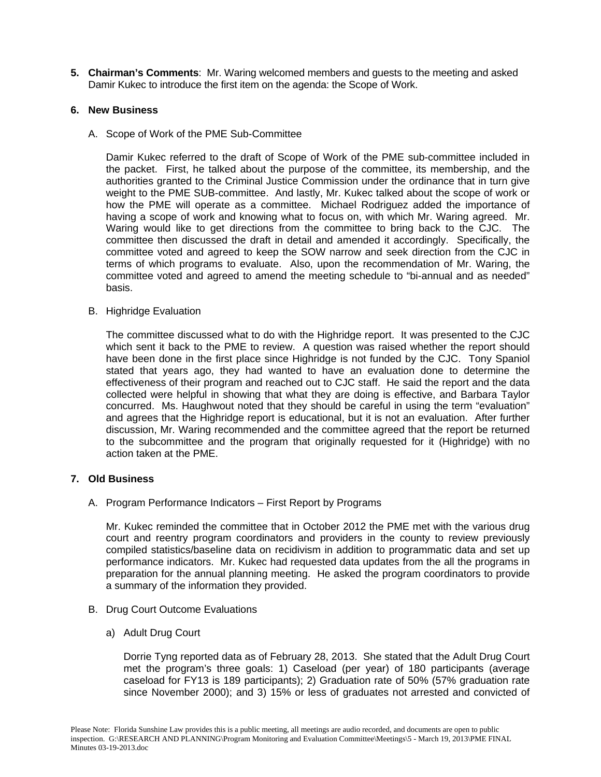**5. Chairman's Comments**: Mr. Waring welcomed members and guests to the meeting and asked Damir Kukec to introduce the first item on the agenda: the Scope of Work.

## **6. New Business**

A. Scope of Work of the PME Sub-Committee

Damir Kukec referred to the draft of Scope of Work of the PME sub-committee included in the packet. First, he talked about the purpose of the committee, its membership, and the authorities granted to the Criminal Justice Commission under the ordinance that in turn give weight to the PME SUB-committee. And lastly, Mr. Kukec talked about the scope of work or how the PME will operate as a committee. Michael Rodriguez added the importance of having a scope of work and knowing what to focus on, with which Mr. Waring agreed. Mr. Waring would like to get directions from the committee to bring back to the CJC. The committee then discussed the draft in detail and amended it accordingly. Specifically, the committee voted and agreed to keep the SOW narrow and seek direction from the CJC in terms of which programs to evaluate. Also, upon the recommendation of Mr. Waring, the committee voted and agreed to amend the meeting schedule to "bi-annual and as needed" basis.

B. Highridge Evaluation

The committee discussed what to do with the Highridge report. It was presented to the CJC which sent it back to the PME to review. A question was raised whether the report should have been done in the first place since Highridge is not funded by the CJC. Tony Spaniol stated that years ago, they had wanted to have an evaluation done to determine the effectiveness of their program and reached out to CJC staff. He said the report and the data collected were helpful in showing that what they are doing is effective, and Barbara Taylor concurred. Ms. Haughwout noted that they should be careful in using the term "evaluation" and agrees that the Highridge report is educational, but it is not an evaluation. After further discussion, Mr. Waring recommended and the committee agreed that the report be returned to the subcommittee and the program that originally requested for it (Highridge) with no action taken at the PME.

#### **7. Old Business**

A. Program Performance Indicators – First Report by Programs

Mr. Kukec reminded the committee that in October 2012 the PME met with the various drug court and reentry program coordinators and providers in the county to review previously compiled statistics/baseline data on recidivism in addition to programmatic data and set up performance indicators. Mr. Kukec had requested data updates from the all the programs in preparation for the annual planning meeting. He asked the program coordinators to provide a summary of the information they provided.

- B. Drug Court Outcome Evaluations
	- a) Adult Drug Court

Dorrie Tyng reported data as of February 28, 2013. She stated that the Adult Drug Court met the program's three goals: 1) Caseload (per year) of 180 participants (average caseload for FY13 is 189 participants); 2) Graduation rate of 50% (57% graduation rate since November 2000); and 3) 15% or less of graduates not arrested and convicted of